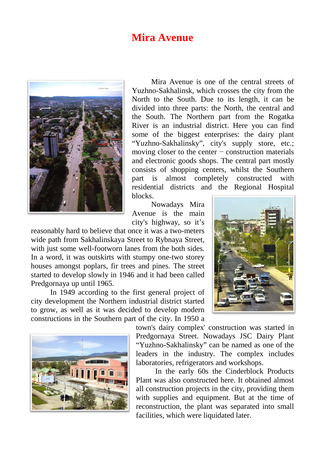## **Mira Avenue**



Mira Avenue is one of the central streets of Yuzhno-Sakhalinsk, which crosses the city from the North to the South. Due to its length, it can be divided into three parts: the North, the central and the South. The Northern part from the Rogatka River is an industrial district. Here you can find some of the biggest enterprises: the dairy plant "Yuzhno-Sakhalinsky", city's supply store, etc.; moving closer to the center − construction materials and electronic goods shops. The central part mostly consists of shopping centers, whilst the Southern part is almost completely constructed with residential districts and the Regional Hospital blocks.

Nowadays Mira Avenue is the main city's highway, so it's

reasonably hard to believe that once it was a two-meters wide path from Sakhalinskaya Street to Rybnaya Street, with just some well-footworn lanes from the both sides. In a word, it was outskirts with stumpy one-two storey houses amongst poplars, fir trees and pines. The street started to develop slowly in 1946 and it had been called Predgornaya up until 1965.

In 1949 according to the first general project of city development the Northern industrial district started to grow, as well as it was decided to develop modern constructions in the Southern part of the city. In 1950 a





town's dairy complex' construction was started in Predgornaya Street. Nowadays JSC Dairy Plant "Yuzhno-Sakhalinsky" can be named as one of the leaders in the industry. The complex includes laboratories, refrigerators and workshops.

In the early 60s the Cinderblock Products Plant was also constructed here. It obtained almost all construction projects in the city, providing them with supplies and equipment. But at the time of reconstruction, the plant was separated into small facilities, which were liquidated later.